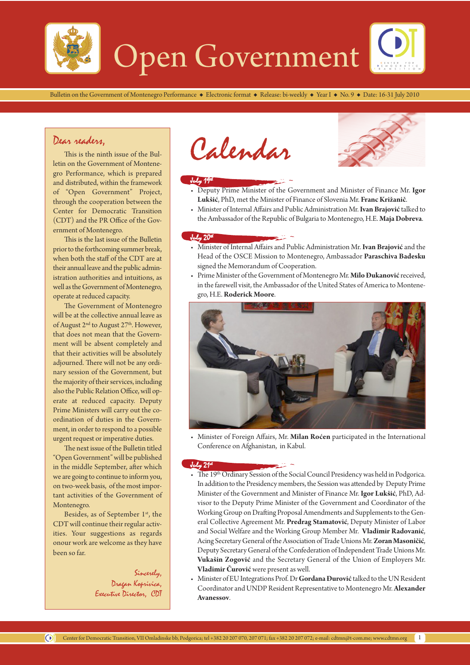

Bulletin on the Government of Montenegro Performance  $\bullet$  Electronic format  $\bullet$  Release: bi-weekly  $\bullet$  Year I  $\bullet$  No. 9  $\bullet$  Date: 16-31 July 2010

# Dear readers,

This is the ninth issue of the Bulletin on the Government of Montenegro Performance, which is prepared and distributed, within the framework of "Open Government" Project, through the cooperation between the Center for Democratic Transition (CDT) and the PR Office of the Government of Montenegro.

This is the last issue of the Bulletin prior to the forthcoming summer break, when both the staff of the CDT are at their annual leave and the public administration authorities and intuitions, as well as the Government of Montenegro, operate at reduced capacity.

The Government of Montenegro will be at the collective annual leave as of August 2<sup>nd</sup> to August 27<sup>th</sup>. However, that does not mean that the Government will be absent completely and that their activities will be absolutely adjourned. There will not be any ordinary session of the Government, but the majority of their services, including also the Public Relation Office, will operate at reduced capacity. Deputy Prime Ministers will carry out the coordination of duties in the Government, in order to respond to a possible urgent request or imperative duties.

The next issue of the Bulletin titled "Open Government" will be published in the middle September, after which we are going to continue to inform you, on two-week basis, of the most important activities of the Government of Montenegro.

Besides, as of September 1st, the CDT will continue their regular activities. Your suggestions as regards onour work are welcome as they have been so far.

> Sincerely, Dragan Koprivica, Executive Director, CDT

Calendar



# July 19th

- Deputy Prime Minister of the Government and Minister of Finance Mr. **Igor Lukšić**, PhD, met the Minister of Finance of Slovenia Mr. **Franc Križanič**.
- Minister of Internal Affairs and Public Administration Mr. **Ivan Brajović** talked to the Ambassador of the Republic of Bulgaria to Montenegro, H.E. **Maja Dobreva**.

#### July  $20<sup>u</sup>$

- Minister of Internal Affairs and Public Administration Mr. **Ivan Brajović** and the Head of the OSCE Mission to Montenegro, Ambassador **Paraschiva Badesku** signed the Memorandum of Cooperation.
- Prime Minister of the Government of Montenegro Mr. **Milo Đukanović** received, in the farewell visit, the Ambassador of the United States of America to Montenegro, H.E. **Roderick Moore**.



• Minister of Foreign Affairs, Mr. **Milan Roćen** participated in the International Conference on Afghanistan, in Kabul.

#### $J_{44}$   $21<sup>4</sup>$

- The 19<sup>th</sup> Ordinary Session of the Social Council Presidency was held in Podgorica. In addition to the Presidency members, the Session was attended by Deputy Prime Minister of the Government and Minister of Finance Mr. **Igor Lukšić**, PhD, Advisor to the Deputy Prime Minister of the Government and Coordinator of the Working Group on Drafting Proposal Amendments and Supplements to the General Collective Agreement Mr. **Predrag Stamatović**, Deputy Minister of Labor and Social Welfare and the Working Group Member Mr. **Vladimir Radovanić**, Acing Secretary General of the Association of Trade Unions Mr. **Zoran Masoničić**, Deputy Secretary General of the Confederation of Independent Trade Unions Mr. **Vukašin Zogović** and the Secretary General of the Union of Employers Mr. **Vladimir Čurović** were present as well.
- Minister of EU Integrations Prof. Dr **Gordana Đurović** talked to the UN Resident Coordinator and UNDP Resident Representative to Montenegro Mr. **Alexander Avanessov**.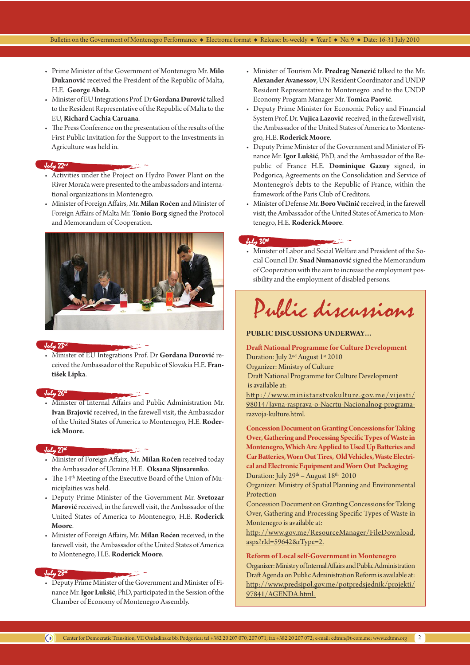- Prime Minister of the Government of Montenegro Mr. **Milo Đukanović** received the President of the Republic of Malta, H.E. **George Abela**.
- Minister of EU Integrations Prof. Dr **Gordana Đurović** talked to the Resident Representative of the Republic of Malta to the EU, **Richard Cachia Caruana**.
- The Press Conference on the presentation of the results of the First Public Invitation for the Support to the Investments in Agriculture was held in.

#### July 22nd

- Activities under the Project on Hydro Power Plant on the River Morača were presented to the ambassadors and international organizations in Montenegro.
- Minister of Foreign Affairs, Mr. **Milan Roćen** and Minister of Foreign Affairs of Malta Mr. **Tonio Borg** signed the Protocol and Memorandum of Cooperation.



#### July 23rd

• Minister of EU Integrations Prof. Dr **Gordana Đurović** received the Ambassador of the Republic of Slovakia H.E. **František Lipka**.

#### July 26th

• Minister of Internal Affairs and Public Administration Mr. **Ivan Brajović** received, in the farewell visit, the Ambassador of the United States of America to Montenegro, H.E. **Roderick Moore**.

#### $J_{ulup}$   $27<sup>u</sup>$

- Minister of Foreign Affairs, Mr. **Milan Roćen** received today the Ambassador of Ukraine H.E. **Oksana Sljusarenko**.
- The 14<sup>th</sup> Meeting of the Executive Board of the Union of Municiplaities was held.
- Deputy Prime Minister of the Government Mr. **Svetozar Marović** received, in the farewell visit, the Ambassador of the United States of America to Montenegro, H.E. **Roderick Moore**.
- Minister of Foreign Affairs, Mr. **Milan Roćen** received, in the farewell visit, the Ambassador of the United States of America to Montenegro, H.E. **Roderick Moore**.

#### July 28th

• Deputy Prime Minister of the Government and Minister of Finance Mr. **Igor Lukšić**, PhD, participated in the Session of the Chamber of Economy of Montenegro Assembly.

- Minister of Tourism Mr. **Predrag Nenezić** talked to the Mr. **Alexander Avanessov**, UN Resident Coordinator and UNDP Resident Representative to Montenegro and to the UNDP Economy Program Manager Mr. **Tomica Paović**.
- Deputy Prime Minister for Economic Policy and Financial System Prof. Dr. **Vujica Lazović** received, in the farewell visit, the Ambassador of the United States of America to Montenegro, H.E. **Roderick Moore**.
- Deputy Prime Minister of the Government and Minister of Finance Mr. **Igor Lukšić**, PhD, and the Ambassador of the Republic of France H.E. **Dominique Gazuy** signed, in Podgorica, Agreements on the Consolidation and Service of Montenegro's debts to the Republic of France, within the framework of the Paris Club of Creditors.
- Minister of Defense Mr. **Boro Vučinić** received, in the farewell visit, the Ambassador of the United States of America to Montenegro, H.E. **Roderick Moore**.

### $J$ uly  $30<sup>u</sup>$

• Minister of Labor and Social Welfare and President of the Social Council Dr. **Suad Numanović** signed the Memorandum of Cooperation with the aim to increase the employment possibility and the employment of disabled persons.

# Public discussions

### **PUBLIC DISCUSSIONS UNDERWAY…**

**Draft National Programme for Culture Development**  Duration: July 2<sup>nd</sup> August 1<sup>st</sup> 2010 Organizer: Ministry of Culture

Duration: July 2 - August 1- 2010<br>Organizer: Ministry of Culture<br>Draft National Programme for Culture Development<br>is available at: is available at:

http://www.ministarstvokulture.gov.me/vijesti/ 98014/Javna-rasprava-o-Nacrtu-Nacionalnog-programarazvoja-kulture.html.

**Concession Document on Granting Concessions for Taking Over, Gathering and Processing Specific Types of Waste in Montenegro, Which Are Applied to Used Up Batteries and Car Batteries, Worn Out Tires, Old Vehicles, Waste Electrical and Electronic Equipment and Worn Out Packaging** Duration: July  $29<sup>th</sup>$  – August  $18<sup>th</sup>$  2010

Organizer: Ministry of Spatial Planning and Environmental Protection

Concession Document on Granting Concessions for Taking Over, Gathering and Processing Specific Types of Waste in Montenegro is available at:

http://www.gov.me/ResourceManager/FileDownload. aspx?rId=59642&rType=2.

#### **Reform of Local self-Government in Montenegro**

Organizer: Ministry of Internal Affairs and Public Administration Draft Agenda on Public Administration Reform is available at: http://www.predsjpol.gov.me/potpredsjednik/projekti/ 97841/AGENDA.html.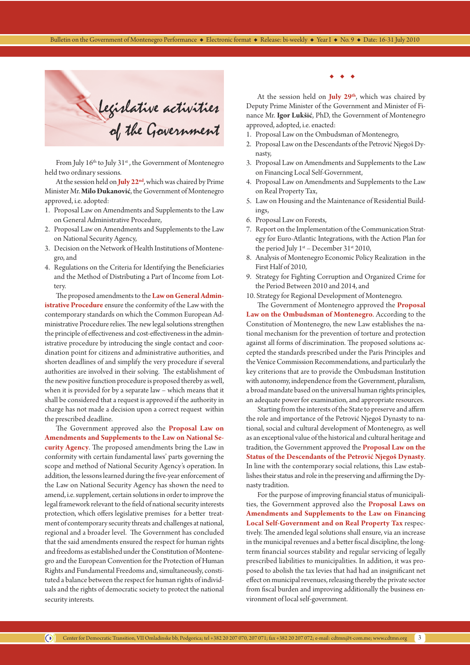

From July 16<sup>th</sup> to July 31<sup>st</sup>, the Government of Montenegro held two ordinary sessions.

At the session held on **July 22nd**, which was chaired by Prime Minister Mr. **Milo Đukanović**, the Government of Montenegro approved, i.e. adopted:

- 1. Proposal Law on Amendments and Supplements to the Law on General Administrative Procedure,
- 2. Proposal Law on Amendments and Supplements to the Law on National Security Agency,
- 3. Decision on the Network of Health Institutions of Montenegro, and
- 4. Regulations on the Criteria for Identifying the Beneficiaries and the Method of Distributing a Part of Income from Lottery.

The proposed amendments to the **Law on General Administrative Procedure** ensure the conformity of the Law with the contemporary standards on which the Common European Administrative Procedure relies. The new legal solutions strengthen the principle of effectiveness and cost-effectiveness in the administrative procedure by introducing the single contact and coordination point for citizens and administrative authorities, and shorten deadlines of and simplify the very procedure if several authorities are involved in their solving. The establishment of the new positive function procedure is proposed thereby as well, when it is provided for by a separate law – which means that it shall be considered that a request is approved if the authority in charge has not made a decision upon a correct request within the prescribed deadline.

The Government approved also the **Proposal Law on Amendments and Supplements to the Law on National Security Agency**. The proposed amendments bring the Law in conformity with certain fundamental laws' parts governing the scope and method of National Security Agency's operation. In addition, the lessons learned during the five-year enforcement of the Law on National Security Agency has shown the need to amend, i.e. supplement, certain solutions in order to improve the legal framework relevant to the field of national security interests protection, which offers legislative premises for a better treatment of contemporary security threats and challenges at national, regional and a broader level. The Government has concluded that the said amendments ensured the respect for human rights and freedoms as established under the Constitution of Montenegro and the European Convention for the Protection of Human Rights and Fundamental Freedoms and, simultaneously, constituted a balance between the respect for human rights of individuals and the rights of democratic society to protect the national security interests.

 $\begin{array}{ccccccccccccc} \bullet & \bullet & \bullet & \bullet & \bullet \end{array}$ 

At the session held on **July 29th**, which was chaired by Deputy Prime Minister of the Government and Minister of Finance Mr. **Igor Lukšić**, PhD, the Government of Montenegro approved, adopted, i.e. enacted:

- 1. Proposal Law on the Ombudsman of Montenegro,
- 2. Proposal Law on the Descendants of the Petrović Njegoš Dynasty,
- 3. Proposal Law on Amendments and Supplements to the Law on Financing Local Self-Government,
- 4. Proposal Law on Amendments and Supplements to the Law on Real Property Tax,
- 5. Law on Housing and the Maintenance of Residential Buildings,
- 6. Proposal Law on Forests,
- 7. Report on the Implementation of the Communication Strategy for Euro-Atlantic Integrations, with the Action Plan for the period July  $1^{st}$  – December 31st 2010,
- 8. Analysis of Montenegro Economic Policy Realization in the First Half of 2010,
- 9. Strategy for Fighting Corruption and Organized Crime for the Period Between 2010 and 2014, and
- 10. Strategy for Regional Development of Montenegro.

The Government of Montenegro approved the **Proposal Law on the Ombudsman of Montenegro**. According to the Constitution of Montenegro, the new Law establishes the national mechanism for the prevention of torture and protection against all forms of discrimination. The proposed solutions accepted the standards prescribed under the Paris Principles and the Venice Commission Recommendations, and particularly the key criterions that are to provide the Ombudsman Institution with autonomy, independence from the Government, pluralism, a broad mandate based on the universal human rights principles, an adequate power for examination, and appropriate resources.

Starting from the interests of the State to preserve and affirm the role and importance of the Petrović Njegoš Dynasty to national, social and cultural development of Montenegro, as well as an exceptional value of the historical and cultural heritage and tradition, the Government approved the **Proposal Law on the Status of the Descendants of the Petrović Njegoš Dynasty**. In line with the contemporary social relations, this Law establishes their status and role in the preserving and affirming the Dynasty tradition.

For the purpose of improving financial status of municipalities, the Government approved also the **Proposal Laws on Amendments and Supplements to the Law on Financing Local Self-Government and on Real Property Tax** respectively. The amended legal solutions shall ensure, via an increase in the municipal revenues and a better fiscal discipline, the longterm financial sources stability and regular servicing of legally prescribed liabilities to municipalities. In addition, it was proposed to abolish the tax levies that had had an insignificant net effect on municipal revenues, releasing thereby the private sector from fiscal burden and improving additionally the business environment of local self-government.